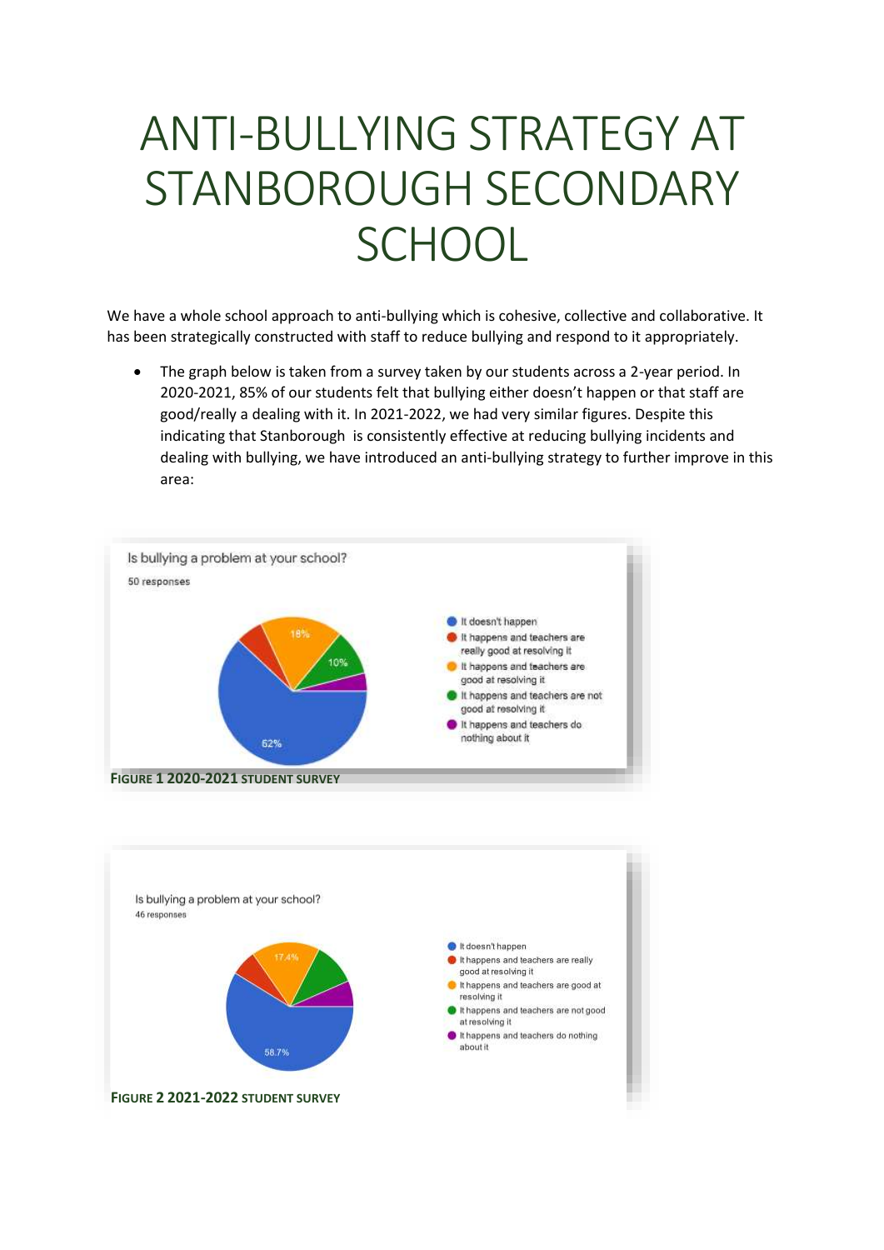## ANTI-BULLYING STRATEGY AT STANBOROUGH SECONDARY **SCHOOL**

We have a whole school approach to anti-bullying which is cohesive, collective and collaborative. It has been strategically constructed with staff to reduce bullying and respond to it appropriately.

• The graph below is taken from a survey taken by our students across a 2-year period. In 2020-2021, 85% of our students felt that bullying either doesn't happen or that staff are good/really a dealing with it. In 2021-2022, we had very similar figures. Despite this indicating that Stanborough is consistently effective at reducing bullying incidents and dealing with bullying, we have introduced an anti-bullying strategy to further improve in this area: